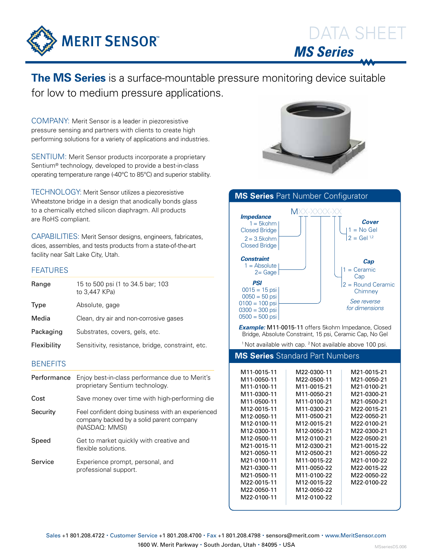

## **The MS Series** is a surface-mountable pressure monitoring device suitable for low to medium pressure applications.

COMPANY: Merit Sensor is a leader in piezoresistive pressure sensing and partners with clients to create high performing solutions for a variety of applications and industries.

SENTIUM: Merit Sensor products incorporate a proprietary Sentium® technology, developed to provide a best-in-class operating temperature range (-40°C to 85°C) and superior stability.

TECHNOLOGY: Merit Sensor utilizes a piezoresistive Wheatstone bridge in a design that anodically bonds glass to a chemically etched silicon diaphragm. All products are RoHS compliant.

CAPABILITIES: Merit Sensor designs, engineers, fabricates, dices, assembles, and tests products from a state-of-the-art facility near Salt Lake City, Utah.

## FEATURES

| Range       | 15 to 500 psi (1 to 34.5 bar; 103<br>to 3,447 KPa) |  |  |  |  |
|-------------|----------------------------------------------------|--|--|--|--|
| Type        | Absolute, gage                                     |  |  |  |  |
| Media       | Clean, dry air and non-corrosive gases             |  |  |  |  |
| Packaging   | Substrates, covers, gels, etc.                     |  |  |  |  |
| Flexibility | Sensitivity, resistance, bridge, constraint, etc.  |  |  |  |  |
|             |                                                    |  |  |  |  |

## **BENEFITS**

| Performance | Enjoy best-in-class performance due to Merit's<br>proprietary Sentium technology.                               |
|-------------|-----------------------------------------------------------------------------------------------------------------|
| Cost        | Save money over time with high-performing die                                                                   |
| Security    | Feel confident doing business with an experienced<br>company backed by a solid parent company<br>(NASDAQ: MMSI) |
| Speed       | Get to market quickly with creative and<br>flexible solutions.                                                  |
| Service     | Experience prompt, personal, and<br>professional support.                                                       |





 *Example:* M11-0015-11 offers 5kohm Impedance, Closed Bridge, Absolute Constraint, 15 psi, Ceramic Cap, No Gel

<sup>1</sup> Not available with cap. <sup>2</sup> Not available above 100 psi.

## **MS Series** Standard Part Numbers

| M11-0015-11              | M22-0300-11              | M21-0015-21 |
|--------------------------|--------------------------|-------------|
| M11-0050-11              | M22-0500-11              | M21-0050-21 |
| M11-0100-11              | M11-0015-21              | M21-0100-21 |
| M11-0300-11              | M11-0050-21              | M21-0300-21 |
| M11-0500-11              | M11-0100-21              | M21-0500-21 |
| M12-0015-11              | M11-0300-21              | M22-0015-21 |
| M12-0050-11              | M11-0500-21              | M22-0050-21 |
| M12-0100-11              | M12-0015-21              | M22-0100-21 |
| M12-0300-11              | M12-0050-21              | M22-0300-21 |
| M12-0500-11              | M12-0100-21              | M22-0500-21 |
| M21-0015-11              | M12-0300-21              | M21-0015-22 |
| M21-0050-11              | M12-0500-21              | M21-0050-22 |
| M21-0100-11              | M <sub>11</sub> -0015-22 | M21-0100-22 |
| M21-0300-11              | M11-0050-22              | M22-0015-22 |
| M21-0500-11              | M <sub>11</sub> -0100-22 | M22-0050-22 |
| M <sub>22</sub> -0015-11 | M <sub>12-0015-22</sub>  | M22-0100-22 |
| M22-0050-11              | M12-0050-22              |             |
| M <sub>22</sub> -0100-11 | M <sub>12</sub> -0100-22 |             |
|                          |                          |             |